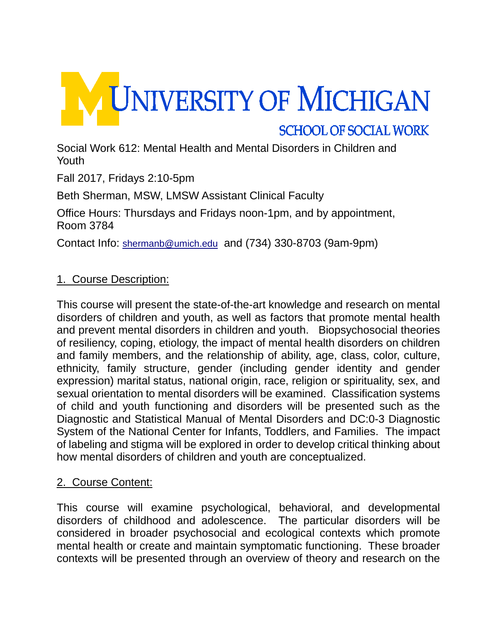

Social Work 612: Mental Health and Mental Disorders in Children and Youth

Fall 2017, Fridays 2:10-5pm

Beth Sherman, MSW, LMSW Assistant Clinical Faculty

Office Hours: Thursdays and Fridays noon-1pm, and by appointment, Room 3784

Contact Info: [shermanb@umich.edu](mailto:shermanb@umich.edu) and (734) 330-8703 (9am-9pm)

### 1. Course Description:

This course will present the state-of-the-art knowledge and research on mental disorders of children and youth, as well as factors that promote mental health and prevent mental disorders in children and youth. Biopsychosocial theories of resiliency, coping, etiology, the impact of mental health disorders on children and family members, and the relationship of ability, age, class, color, culture, ethnicity, family structure, gender (including gender identity and gender expression) marital status, national origin, race, religion or spirituality, sex, and sexual orientation to mental disorders will be examined. Classification systems of child and youth functioning and disorders will be presented such as the Diagnostic and Statistical Manual of Mental Disorders and DC:0-3 Diagnostic System of the National Center for Infants, Toddlers, and Families. The impact of labeling and stigma will be explored in order to develop critical thinking about how mental disorders of children and youth are conceptualized.

#### 2. Course Content:

This course will examine psychological, behavioral, and developmental disorders of childhood and adolescence. The particular disorders will be considered in broader psychosocial and ecological contexts which promote mental health or create and maintain symptomatic functioning. These broader contexts will be presented through an overview of theory and research on the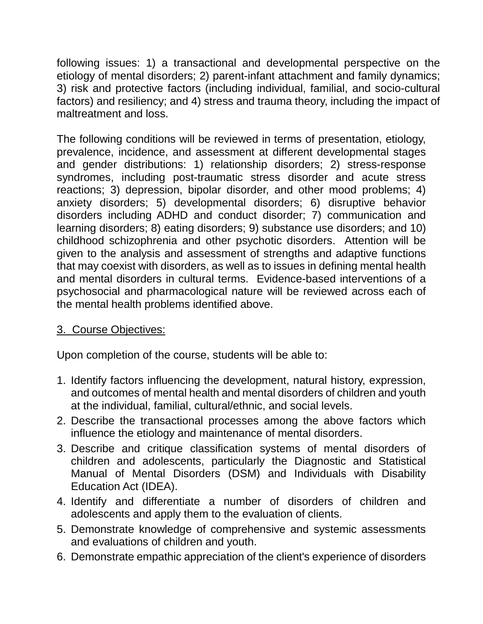following issues: 1) a transactional and developmental perspective on the etiology of mental disorders; 2) parent-infant attachment and family dynamics; 3) risk and protective factors (including individual, familial, and socio-cultural factors) and resiliency; and 4) stress and trauma theory, including the impact of maltreatment and loss.

The following conditions will be reviewed in terms of presentation, etiology, prevalence, incidence, and assessment at different developmental stages and gender distributions: 1) relationship disorders; 2) stress-response syndromes, including post-traumatic stress disorder and acute stress reactions; 3) depression, bipolar disorder, and other mood problems; 4) anxiety disorders; 5) developmental disorders; 6) disruptive behavior disorders including ADHD and conduct disorder; 7) communication and learning disorders; 8) eating disorders; 9) substance use disorders; and 10) childhood schizophrenia and other psychotic disorders. Attention will be given to the analysis and assessment of strengths and adaptive functions that may coexist with disorders, as well as to issues in defining mental health and mental disorders in cultural terms. Evidence-based interventions of a psychosocial and pharmacological nature will be reviewed across each of the mental health problems identified above.

## 3. Course Objectives:

Upon completion of the course, students will be able to:

- 1. Identify factors influencing the development, natural history, expression, and outcomes of mental health and mental disorders of children and youth at the individual, familial, cultural/ethnic, and social levels.
- 2. Describe the transactional processes among the above factors which influence the etiology and maintenance of mental disorders.
- 3. Describe and critique classification systems of mental disorders of children and adolescents, particularly the Diagnostic and Statistical Manual of Mental Disorders (DSM) and Individuals with Disability Education Act (IDEA).
- 4. Identify and differentiate a number of disorders of children and adolescents and apply them to the evaluation of clients.
- 5. Demonstrate knowledge of comprehensive and systemic assessments and evaluations of children and youth.
- 6. Demonstrate empathic appreciation of the client's experience of disorders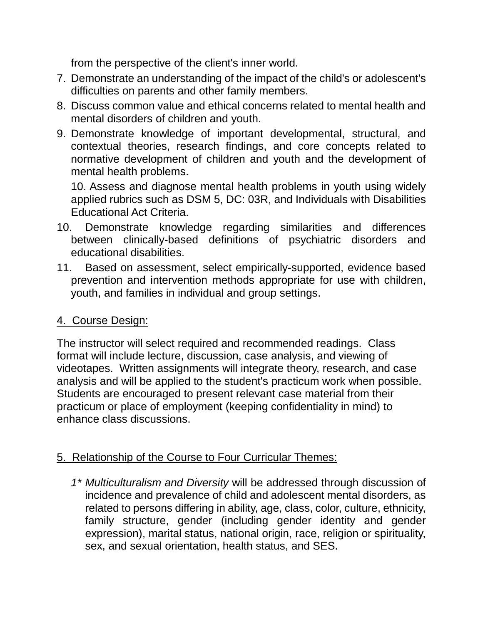from the perspective of the client's inner world.

- 7. Demonstrate an understanding of the impact of the child's or adolescent's difficulties on parents and other family members.
- 8. Discuss common value and ethical concerns related to mental health and mental disorders of children and youth.
- 9. Demonstrate knowledge of important developmental, structural, and contextual theories, research findings, and core concepts related to normative development of children and youth and the development of mental health problems.

10. Assess and diagnose mental health problems in youth using widely applied rubrics such as DSM 5, DC: 03R, and Individuals with Disabilities Educational Act Criteria.

- 10. Demonstrate knowledge regarding similarities and differences between clinically-based definitions of psychiatric disorders and educational disabilities.
- 11. Based on assessment, select empirically-supported, evidence based prevention and intervention methods appropriate for use with children, youth, and families in individual and group settings.

## 4. Course Design:

The instructor will select required and recommended readings. Class format will include lecture, discussion, case analysis, and viewing of videotapes. Written assignments will integrate theory, research, and case analysis and will be applied to the student's practicum work when possible. Students are encouraged to present relevant case material from their practicum or place of employment (keeping confidentiality in mind) to enhance class discussions.

# 5. Relationship of the Course to Four Curricular Themes:

*1\* Multiculturalism and Diversity* will be addressed through discussion of incidence and prevalence of child and adolescent mental disorders, as related to persons differing in ability, age, class, color, culture, ethnicity, family structure, gender (including gender identity and gender expression), marital status, national origin, race, religion or spirituality, sex, and sexual orientation, health status, and SES.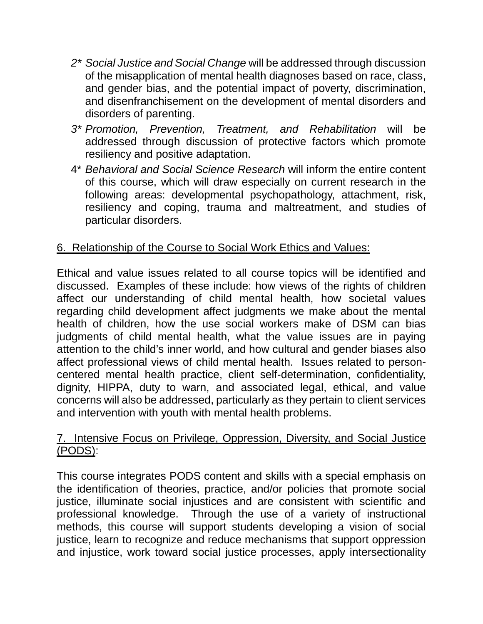- *2\* Social Justice and Social Change* will be addressed through discussion of the misapplication of mental health diagnoses based on race, class, and gender bias, and the potential impact of poverty, discrimination, and disenfranchisement on the development of mental disorders and disorders of parenting.
- *3\* Promotion, Prevention, Treatment, and Rehabilitation* will be addressed through discussion of protective factors which promote resiliency and positive adaptation.
- 4\* *Behavioral and Social Science Research* will inform the entire content of this course, which will draw especially on current research in the following areas: developmental psychopathology, attachment, risk, resiliency and coping, trauma and maltreatment, and studies of particular disorders.

## 6. Relationship of the Course to Social Work Ethics and Values:

Ethical and value issues related to all course topics will be identified and discussed. Examples of these include: how views of the rights of children affect our understanding of child mental health, how societal values regarding child development affect judgments we make about the mental health of children, how the use social workers make of DSM can bias judgments of child mental health, what the value issues are in paying attention to the child's inner world, and how cultural and gender biases also affect professional views of child mental health. Issues related to personcentered mental health practice, client self-determination, confidentiality, dignity, HIPPA, duty to warn, and associated legal, ethical, and value concerns will also be addressed, particularly as they pertain to client services and intervention with youth with mental health problems.

#### 7. Intensive Focus on Privilege, Oppression, Diversity, and Social Justice (PODS):

This course integrates PODS content and skills with a special emphasis on the identification of theories, practice, and/or policies that promote social justice, illuminate social injustices and are consistent with scientific and professional knowledge. Through the use of a variety of instructional methods, this course will support students developing a vision of social justice, learn to recognize and reduce mechanisms that support oppression and injustice, work toward social justice processes, apply intersectionality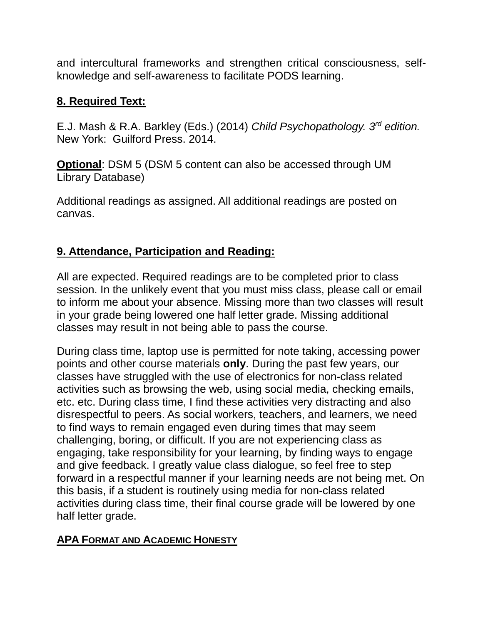and intercultural frameworks and strengthen critical consciousness, selfknowledge and self-awareness to facilitate PODS learning.

# **8. Required Text:**

E.J. Mash & R.A. Barkley (Eds.) (2014) *Child Psychopathology. 3rd edition.*  New York: Guilford Press. 2014.

**Optional**: DSM 5 (DSM 5 content can also be accessed through UM Library Database)

Additional readings as assigned. All additional readings are posted on canvas.

# **9. Attendance, Participation and Reading:**

All are expected. Required readings are to be completed prior to class session. In the unlikely event that you must miss class, please call or email to inform me about your absence. Missing more than two classes will result in your grade being lowered one half letter grade. Missing additional classes may result in not being able to pass the course.

During class time, laptop use is permitted for note taking, accessing power points and other course materials **only**. During the past few years, our classes have struggled with the use of electronics for non-class related activities such as browsing the web, using social media, checking emails, etc. etc. During class time, I find these activities very distracting and also disrespectful to peers. As social workers, teachers, and learners, we need to find ways to remain engaged even during times that may seem challenging, boring, or difficult. If you are not experiencing class as engaging, take responsibility for your learning, by finding ways to engage and give feedback. I greatly value class dialogue, so feel free to step forward in a respectful manner if your learning needs are not being met. On this basis, if a student is routinely using media for non-class related activities during class time, their final course grade will be lowered by one half letter grade.

## **APA FORMAT AND ACADEMIC HONESTY**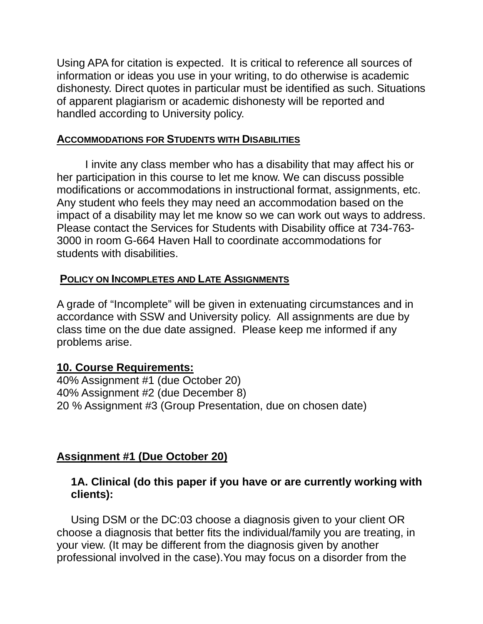Using APA for citation is expected. It is critical to reference all sources of information or ideas you use in your writing, to do otherwise is academic dishonesty. Direct quotes in particular must be identified as such. Situations of apparent plagiarism or academic dishonesty will be reported and handled according to University policy.

#### **ACCOMMODATIONS FOR STUDENTS WITH DISABILITIES**

I invite any class member who has a disability that may affect his or her participation in this course to let me know. We can discuss possible modifications or accommodations in instructional format, assignments, etc. Any student who feels they may need an accommodation based on the impact of a disability may let me know so we can work out ways to address. Please contact the Services for Students with Disability office at 734-763- 3000 in room G-664 Haven Hall to coordinate accommodations for students with disabilities.

#### **POLICY ON INCOMPLETES AND LATE ASSIGNMENTS**

A grade of "Incomplete" will be given in extenuating circumstances and in accordance with SSW and University policy. All assignments are due by class time on the due date assigned. Please keep me informed if any problems arise.

#### **10. Course Requirements:**

40% Assignment #1 (due October 20) 40% Assignment #2 (due December 8) 20 % Assignment #3 (Group Presentation, due on chosen date)

## **Assignment #1 (Due October 20)**

#### **1A. Clinical (do this paper if you have or are currently working with clients):**

Using DSM or the DC:03 choose a diagnosis given to your client OR choose a diagnosis that better fits the individual/family you are treating, in your view. (It may be different from the diagnosis given by another professional involved in the case).You may focus on a disorder from the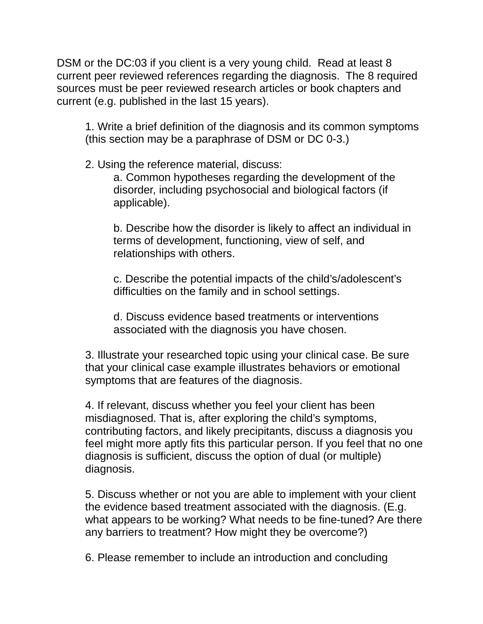DSM or the DC:03 if you client is a very young child. Read at least 8 current peer reviewed references regarding the diagnosis. The 8 required sources must be peer reviewed research articles or book chapters and current (e.g. published in the last 15 years).

1. Write a brief definition of the diagnosis and its common symptoms (this section may be a paraphrase of DSM or DC 0-3.)

2. Using the reference material, discuss:

a. Common hypotheses regarding the development of the disorder, including psychosocial and biological factors (if applicable).

b. Describe how the disorder is likely to affect an individual in terms of development, functioning, view of self, and relationships with others.

c. Describe the potential impacts of the child's/adolescent's difficulties on the family and in school settings.

d. Discuss evidence based treatments or interventions associated with the diagnosis you have chosen.

3. Illustrate your researched topic using your clinical case. Be sure that your clinical case example illustrates behaviors or emotional symptoms that are features of the diagnosis.

4. If relevant, discuss whether you feel your client has been misdiagnosed. That is, after exploring the child's symptoms, contributing factors, and likely precipitants, discuss a diagnosis you feel might more aptly fits this particular person. If you feel that no one diagnosis is sufficient, discuss the option of dual (or multiple) diagnosis.

5. Discuss whether or not you are able to implement with your client the evidence based treatment associated with the diagnosis. (E.g. what appears to be working? What needs to be fine-tuned? Are there any barriers to treatment? How might they be overcome?)

6. Please remember to include an introduction and concluding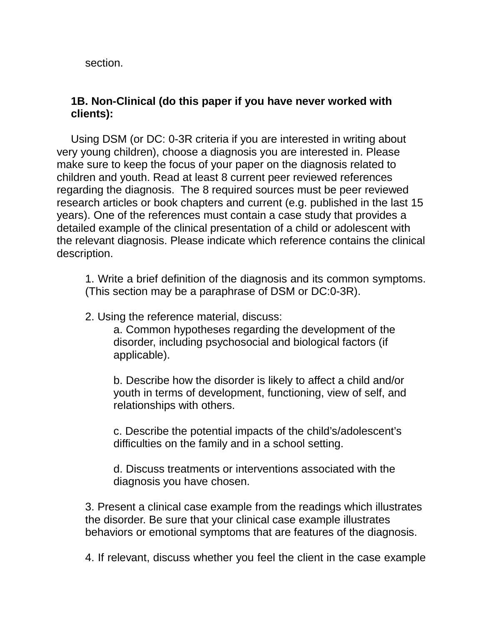section.

#### **1B. Non-Clinical (do this paper if you have never worked with clients):**

Using DSM (or DC: 0-3R criteria if you are interested in writing about very young children), choose a diagnosis you are interested in. Please make sure to keep the focus of your paper on the diagnosis related to children and youth. Read at least 8 current peer reviewed references regarding the diagnosis. The 8 required sources must be peer reviewed research articles or book chapters and current (e.g. published in the last 15 years). One of the references must contain a case study that provides a detailed example of the clinical presentation of a child or adolescent with the relevant diagnosis. Please indicate which reference contains the clinical description.

1. Write a brief definition of the diagnosis and its common symptoms. (This section may be a paraphrase of DSM or DC:0-3R).

2. Using the reference material, discuss:

a. Common hypotheses regarding the development of the disorder, including psychosocial and biological factors (if applicable).

b. Describe how the disorder is likely to affect a child and/or youth in terms of development, functioning, view of self, and relationships with others.

c. Describe the potential impacts of the child's/adolescent's difficulties on the family and in a school setting.

d. Discuss treatments or interventions associated with the diagnosis you have chosen.

3. Present a clinical case example from the readings which illustrates the disorder. Be sure that your clinical case example illustrates behaviors or emotional symptoms that are features of the diagnosis.

4. If relevant, discuss whether you feel the client in the case example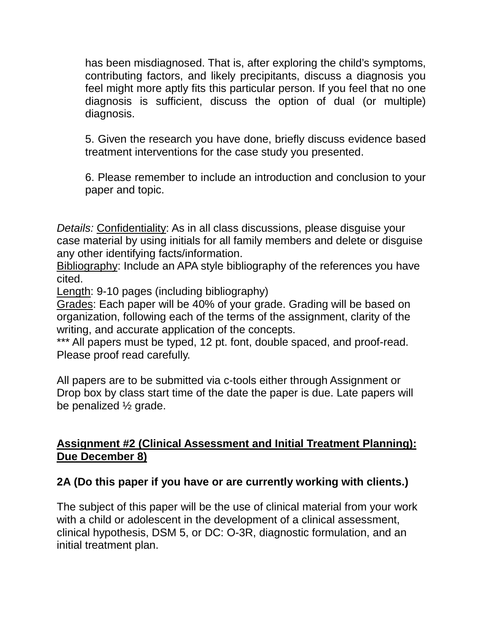has been misdiagnosed. That is, after exploring the child's symptoms, contributing factors, and likely precipitants, discuss a diagnosis you feel might more aptly fits this particular person. If you feel that no one diagnosis is sufficient, discuss the option of dual (or multiple) diagnosis.

5. Given the research you have done, briefly discuss evidence based treatment interventions for the case study you presented.

6. Please remember to include an introduction and conclusion to your paper and topic.

*Details:* Confidentiality: As in all class discussions, please disguise your case material by using initials for all family members and delete or disguise any other identifying facts/information.

Bibliography: Include an APA style bibliography of the references you have cited.

Length: 9-10 pages (including bibliography)

Grades: Each paper will be 40% of your grade. Grading will be based on organization, following each of the terms of the assignment, clarity of the writing, and accurate application of the concepts.

\*\*\* All papers must be typed, 12 pt. font, double spaced, and proof-read. Please proof read carefully.

All papers are to be submitted via c-tools either through Assignment or Drop box by class start time of the date the paper is due. Late papers will be penalized ½ grade.

## **Assignment #2 (Clinical Assessment and Initial Treatment Planning): Due December 8)**

## **2A (Do this paper if you have or are currently working with clients.)**

The subject of this paper will be the use of clinical material from your work with a child or adolescent in the development of a clinical assessment, clinical hypothesis, DSM 5, or DC: O-3R, diagnostic formulation, and an initial treatment plan.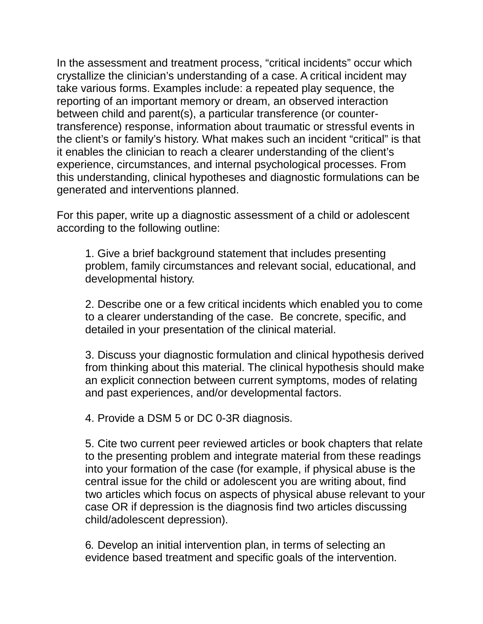In the assessment and treatment process, "critical incidents" occur which crystallize the clinician's understanding of a case. A critical incident may take various forms. Examples include: a repeated play sequence, the reporting of an important memory or dream, an observed interaction between child and parent(s), a particular transference (or countertransference) response, information about traumatic or stressful events in the client's or family's history. What makes such an incident "critical" is that it enables the clinician to reach a clearer understanding of the client's experience, circumstances, and internal psychological processes. From this understanding, clinical hypotheses and diagnostic formulations can be generated and interventions planned.

For this paper, write up a diagnostic assessment of a child or adolescent according to the following outline:

1. Give a brief background statement that includes presenting problem, family circumstances and relevant social, educational, and developmental history.

2. Describe one or a few critical incidents which enabled you to come to a clearer understanding of the case. Be concrete, specific, and detailed in your presentation of the clinical material.

3. Discuss your diagnostic formulation and clinical hypothesis derived from thinking about this material. The clinical hypothesis should make an explicit connection between current symptoms, modes of relating and past experiences, and/or developmental factors.

4. Provide a DSM 5 or DC 0-3R diagnosis.

5. Cite two current peer reviewed articles or book chapters that relate to the presenting problem and integrate material from these readings into your formation of the case (for example, if physical abuse is the central issue for the child or adolescent you are writing about, find two articles which focus on aspects of physical abuse relevant to your case OR if depression is the diagnosis find two articles discussing child/adolescent depression).

6*.* Develop an initial intervention plan, in terms of selecting an evidence based treatment and specific goals of the intervention.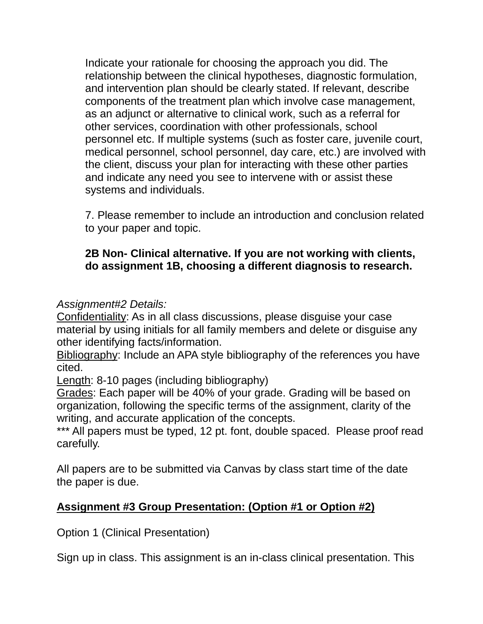Indicate your rationale for choosing the approach you did. The relationship between the clinical hypotheses, diagnostic formulation, and intervention plan should be clearly stated. If relevant, describe components of the treatment plan which involve case management, as an adjunct or alternative to clinical work, such as a referral for other services, coordination with other professionals, school personnel etc. If multiple systems (such as foster care, juvenile court, medical personnel, school personnel, day care, etc.) are involved with the client, discuss your plan for interacting with these other parties and indicate any need you see to intervene with or assist these systems and individuals.

7. Please remember to include an introduction and conclusion related to your paper and topic.

### **2B Non- Clinical alternative. If you are not working with clients, do assignment 1B, choosing a different diagnosis to research.**

## *Assignment#2 Details:*

Confidentiality: As in all class discussions, please disguise your case material by using initials for all family members and delete or disguise any other identifying facts/information.

Bibliography: Include an APA style bibliography of the references you have cited.

Length: 8-10 pages (including bibliography)

Grades: Each paper will be 40% of your grade. Grading will be based on organization, following the specific terms of the assignment, clarity of the writing, and accurate application of the concepts.

\*\*\* All papers must be typed, 12 pt. font, double spaced. Please proof read carefully.

All papers are to be submitted via Canvas by class start time of the date the paper is due.

## **Assignment #3 Group Presentation: (Option #1 or Option #2)**

Option 1 (Clinical Presentation)

Sign up in class. This assignment is an in-class clinical presentation. This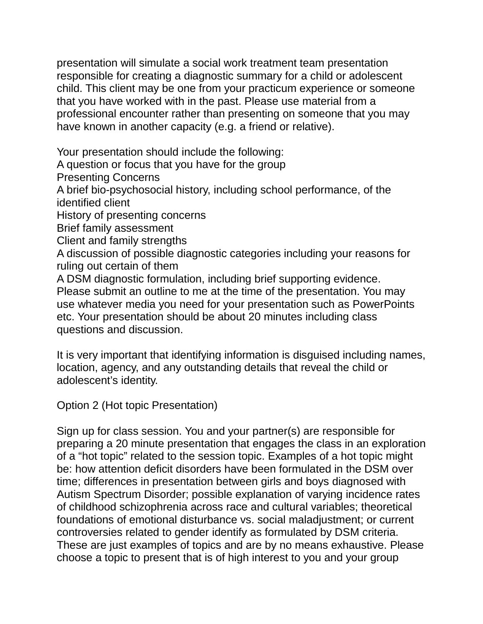presentation will simulate a social work treatment team presentation responsible for creating a diagnostic summary for a child or adolescent child. This client may be one from your practicum experience or someone that you have worked with in the past. Please use material from a professional encounter rather than presenting on someone that you may have known in another capacity (e.g. a friend or relative).

Your presentation should include the following: A question or focus that you have for the group Presenting Concerns A brief bio-psychosocial history, including school performance, of the identified client History of presenting concerns Brief family assessment Client and family strengths A discussion of possible diagnostic categories including your reasons for ruling out certain of them

A DSM diagnostic formulation, including brief supporting evidence. Please submit an outline to me at the time of the presentation. You may use whatever media you need for your presentation such as PowerPoints etc. Your presentation should be about 20 minutes including class questions and discussion.

It is very important that identifying information is disguised including names, location, agency, and any outstanding details that reveal the child or adolescent's identity.

Option 2 (Hot topic Presentation)

Sign up for class session. You and your partner(s) are responsible for preparing a 20 minute presentation that engages the class in an exploration of a "hot topic" related to the session topic. Examples of a hot topic might be: how attention deficit disorders have been formulated in the DSM over time; differences in presentation between girls and boys diagnosed with Autism Spectrum Disorder; possible explanation of varying incidence rates of childhood schizophrenia across race and cultural variables; theoretical foundations of emotional disturbance vs. social maladjustment; or current controversies related to gender identify as formulated by DSM criteria. These are just examples of topics and are by no means exhaustive. Please choose a topic to present that is of high interest to you and your group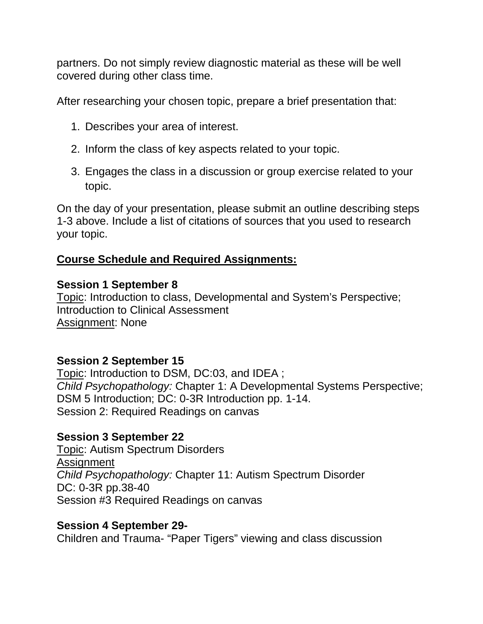partners. Do not simply review diagnostic material as these will be well covered during other class time.

After researching your chosen topic, prepare a brief presentation that:

- 1. Describes your area of interest.
- 2. Inform the class of key aspects related to your topic.
- 3. Engages the class in a discussion or group exercise related to your topic.

On the day of your presentation, please submit an outline describing steps 1-3 above. Include a list of citations of sources that you used to research your topic.

# **Course Schedule and Required Assignments:**

## **Session 1 September 8**

Topic: Introduction to class, Developmental and System's Perspective; Introduction to Clinical Assessment Assignment: None

# **Session 2 September 15**

Topic: Introduction to DSM, DC:03, and IDEA ; *Child Psychopathology:* Chapter 1: A Developmental Systems Perspective; DSM 5 Introduction; DC: 0-3R Introduction pp. 1-14. Session 2: Required Readings on canvas

# **Session 3 September 22**

Topic: Autism Spectrum Disorders Assignment *Child Psychopathology:* Chapter 11: Autism Spectrum Disorder DC: 0-3R pp.38-40 Session #3 Required Readings on canvas

## **Session 4 September 29-**

Children and Trauma- "Paper Tigers" viewing and class discussion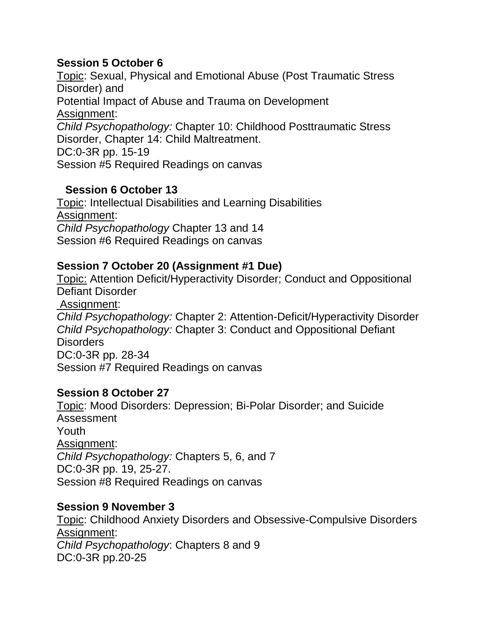### **Session 5 October 6**

Topic: Sexual, Physical and Emotional Abuse (Post Traumatic Stress Disorder) and Potential Impact of Abuse and Trauma on Development Assignment: *Child Psychopathology:* Chapter 10: Childhood Posttraumatic Stress Disorder, Chapter 14: Child Maltreatment. DC:0-3R pp. 15-19 Session #5 Required Readings on canvas

### **Session 6 October 13**

Topic: Intellectual Disabilities and Learning Disabilities Assignment: *Child Psychopathology* Chapter 13 and 14 Session #6 Required Readings on canvas

### **Session 7 October 20 (Assignment #1 Due)**

Topic: Attention Deficit/Hyperactivity Disorder; Conduct and Oppositional Defiant Disorder Assignment: *Child Psychopathology:* Chapter 2: Attention-Deficit/Hyperactivity Disorder *Child Psychopathology:* Chapter 3: Conduct and Oppositional Defiant **Disorders** DC:0-3R pp. 28-34 Session #7 Required Readings on canvas

#### **Session 8 October 27**

Topic: Mood Disorders: Depression; Bi-Polar Disorder; and Suicide Assessment Youth Assignment: *Child Psychopathology:* Chapters 5, 6, and 7 DC:0-3R pp. 19, 25-27. Session #8 Required Readings on canvas

#### **Session 9 November 3**

Topic: Childhood Anxiety Disorders and Obsessive-Compulsive Disorders Assignment: *Child Psychopathology*: Chapters 8 and 9 DC:0-3R pp.20-25